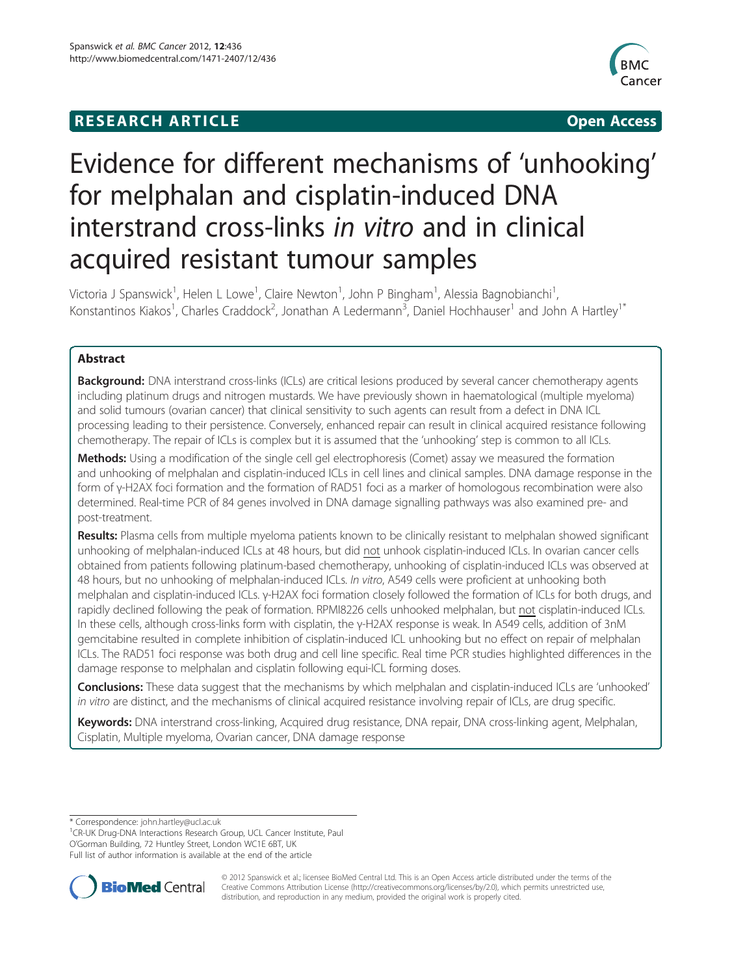# **RESEARCH ARTICLE Example 2014 12:30 THE Open Access**



# Evidence for different mechanisms of 'unhooking' for melphalan and cisplatin-induced DNA interstrand cross-links in vitro and in clinical acquired resistant tumour samples

Victoria J Spanswick<sup>1</sup>, Helen L Lowe<sup>1</sup>, Claire Newton<sup>1</sup>, John P Bingham<sup>1</sup>, Alessia Bagnobianchi<sup>1</sup> , Konstantinos Kiakos<sup>1</sup>, Charles Craddock<sup>2</sup>, Jonathan A Ledermann<sup>3</sup>, Daniel Hochhauser<sup>1</sup> and John A Hartley<sup>1\*</sup>

# Abstract

Background: DNA interstrand cross-links (ICLs) are critical lesions produced by several cancer chemotherapy agents including platinum drugs and nitrogen mustards. We have previously shown in haematological (multiple myeloma) and solid tumours (ovarian cancer) that clinical sensitivity to such agents can result from a defect in DNA ICL processing leading to their persistence. Conversely, enhanced repair can result in clinical acquired resistance following chemotherapy. The repair of ICLs is complex but it is assumed that the 'unhooking' step is common to all ICLs.

Methods: Using a modification of the single cell gel electrophoresis (Comet) assay we measured the formation and unhooking of melphalan and cisplatin-induced ICLs in cell lines and clinical samples. DNA damage response in the form of γ-H2AX foci formation and the formation of RAD51 foci as a marker of homologous recombination were also determined. Real-time PCR of 84 genes involved in DNA damage signalling pathways was also examined pre- and post-treatment.

Results: Plasma cells from multiple myeloma patients known to be clinically resistant to melphalan showed significant unhooking of melphalan-induced ICLs at 48 hours, but did not unhook cisplatin-induced ICLs. In ovarian cancer cells obtained from patients following platinum-based chemotherapy, unhooking of cisplatin-induced ICLs was observed at 48 hours, but no unhooking of melphalan-induced ICLs. In vitro, A549 cells were proficient at unhooking both melphalan and cisplatin-induced ICLs. γ-H2AX foci formation closely followed the formation of ICLs for both drugs, and rapidly declined following the peak of formation. RPMI8226 cells unhooked melphalan, but not cisplatin-induced ICLs. In these cells, although cross-links form with cisplatin, the γ-H2AX response is weak. In A549 cells, addition of 3nM gemcitabine resulted in complete inhibition of cisplatin-induced ICL unhooking but no effect on repair of melphalan ICLs. The RAD51 foci response was both drug and cell line specific. Real time PCR studies highlighted differences in the damage response to melphalan and cisplatin following equi-ICL forming doses.

Conclusions: These data suggest that the mechanisms by which melphalan and cisplatin-induced ICLs are 'unhooked' in vitro are distinct, and the mechanisms of clinical acquired resistance involving repair of ICLs, are drug specific.

Keywords: DNA interstrand cross-linking, Acquired drug resistance, DNA repair, DNA cross-linking agent, Melphalan, Cisplatin, Multiple myeloma, Ovarian cancer, DNA damage response

\* Correspondence: [john.hartley@ucl.ac.uk](mailto:john.hartley@ucl.ac.uk) <sup>1</sup>

<sup>1</sup> CR-UK Drug-DNA Interactions Research Group, UCL Cancer Institute, Paul O'Gorman Building, 72 Huntley Street, London WC1E 6BT, UK Full list of author information is available at the end of the article



© 2012 Spanswick et al.; licensee BioMed Central Ltd. This is an Open Access article distributed under the terms of the Creative Commons Attribution License (<http://creativecommons.org/licenses/by/2.0>), which permits unrestricted use, distribution, and reproduction in any medium, provided the original work is properly cited.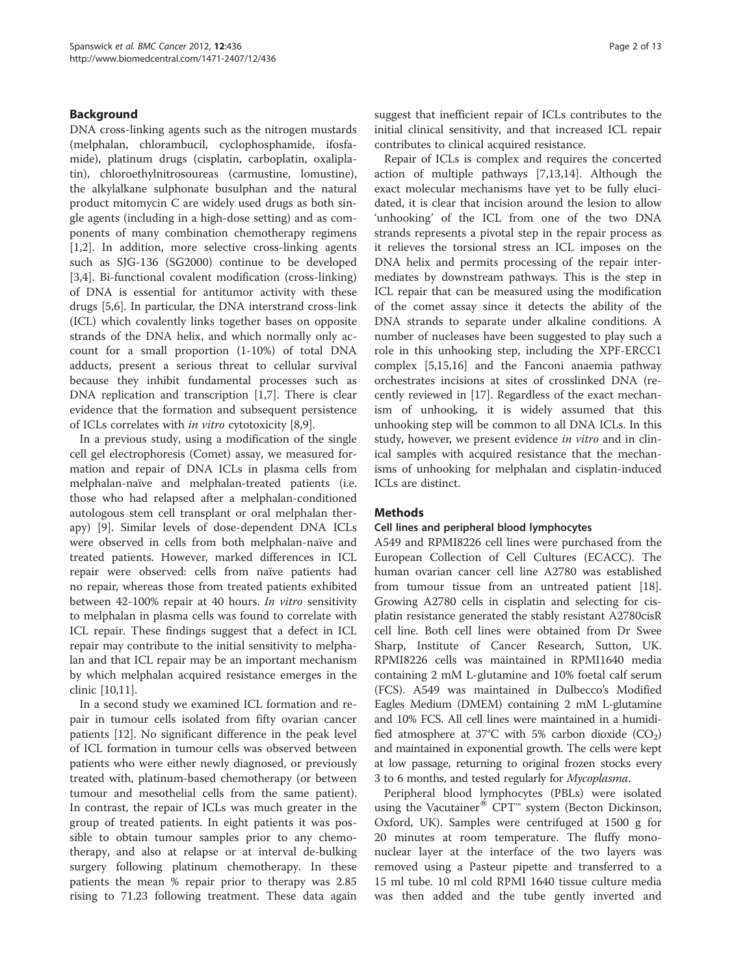# Background

DNA cross-linking agents such as the nitrogen mustards (melphalan, chlorambucil, cyclophosphamide, ifosfamide), platinum drugs (cisplatin, carboplatin, oxaliplatin), chloroethylnitrosoureas (carmustine, lomustine), the alkylalkane sulphonate busulphan and the natural product mitomycin C are widely used drugs as both single agents (including in a high-dose setting) and as components of many combination chemotherapy regimens [[1,2\]](#page-11-0). In addition, more selective cross-linking agents such as SJG-136 (SG2000) continue to be developed [[3,4\]](#page-11-0). Bi-functional covalent modification (cross-linking) of DNA is essential for antitumor activity with these drugs [[5,6\]](#page-11-0). In particular, the DNA interstrand cross-link (ICL) which covalently links together bases on opposite strands of the DNA helix, and which normally only account for a small proportion (1-10%) of total DNA adducts, present a serious threat to cellular survival because they inhibit fundamental processes such as DNA replication and transcription [\[1,7](#page-11-0)]. There is clear evidence that the formation and subsequent persistence of ICLs correlates with in vitro cytotoxicity [\[8,9](#page-11-0)].

In a previous study, using a modification of the single cell gel electrophoresis (Comet) assay, we measured formation and repair of DNA ICLs in plasma cells from melphalan-naïve and melphalan-treated patients (i.e. those who had relapsed after a melphalan-conditioned autologous stem cell transplant or oral melphalan therapy) [\[9](#page-11-0)]. Similar levels of dose-dependent DNA ICLs were observed in cells from both melphalan-naïve and treated patients. However, marked differences in ICL repair were observed: cells from naïve patients had no repair, whereas those from treated patients exhibited between 42-100% repair at 40 hours. In vitro sensitivity to melphalan in plasma cells was found to correlate with ICL repair. These findings suggest that a defect in ICL repair may contribute to the initial sensitivity to melphalan and that ICL repair may be an important mechanism by which melphalan acquired resistance emerges in the clinic [[10,11](#page-11-0)].

In a second study we examined ICL formation and repair in tumour cells isolated from fifty ovarian cancer patients [[12\]](#page-11-0). No significant difference in the peak level of ICL formation in tumour cells was observed between patients who were either newly diagnosed, or previously treated with, platinum-based chemotherapy (or between tumour and mesothelial cells from the same patient). In contrast, the repair of ICLs was much greater in the group of treated patients. In eight patients it was possible to obtain tumour samples prior to any chemotherapy, and also at relapse or at interval de-bulking surgery following platinum chemotherapy. In these patients the mean % repair prior to therapy was 2.85 rising to 71.23 following treatment. These data again suggest that inefficient repair of ICLs contributes to the initial clinical sensitivity, and that increased ICL repair contributes to clinical acquired resistance.

Repair of ICLs is complex and requires the concerted action of multiple pathways [[7](#page-11-0),[13](#page-11-0),[14](#page-11-0)]. Although the exact molecular mechanisms have yet to be fully elucidated, it is clear that incision around the lesion to allow 'unhooking' of the ICL from one of the two DNA strands represents a pivotal step in the repair process as it relieves the torsional stress an ICL imposes on the DNA helix and permits processing of the repair intermediates by downstream pathways. This is the step in ICL repair that can be measured using the modification of the comet assay since it detects the ability of the DNA strands to separate under alkaline conditions. A number of nucleases have been suggested to play such a role in this unhooking step, including the XPF-ERCC1 complex [[5,15](#page-11-0),[16](#page-11-0)] and the Fanconi anaemia pathway orchestrates incisions at sites of crosslinked DNA (recently reviewed in [\[17\]](#page-11-0). Regardless of the exact mechanism of unhooking, it is widely assumed that this unhooking step will be common to all DNA ICLs. In this study, however, we present evidence in vitro and in clinical samples with acquired resistance that the mechanisms of unhooking for melphalan and cisplatin-induced ICLs are distinct.

## **Methods**

## Cell lines and peripheral blood lymphocytes

A549 and RPMI8226 cell lines were purchased from the European Collection of Cell Cultures (ECACC). The human ovarian cancer cell line A2780 was established from tumour tissue from an untreated patient [\[18](#page-11-0)]. Growing A2780 cells in cisplatin and selecting for cisplatin resistance generated the stably resistant A2780cisR cell line. Both cell lines were obtained from Dr Swee Sharp, Institute of Cancer Research, Sutton, UK. RPMI8226 cells was maintained in RPMI1640 media containing 2 mM L-glutamine and 10% foetal calf serum (FCS). A549 was maintained in Dulbecco's Modified Eagles Medium (DMEM) containing 2 mM L-glutamine and 10% FCS. All cell lines were maintained in a humidified atmosphere at 37°C with 5% carbon dioxide  $(CO_2)$ and maintained in exponential growth. The cells were kept at low passage, returning to original frozen stocks every 3 to 6 months, and tested regularly for Mycoplasma.

Peripheral blood lymphocytes (PBLs) were isolated using the Vacutainer<sup>®</sup> CPT<sup>™</sup> system (Becton Dickinson, Oxford, UK). Samples were centrifuged at 1500 g for 20 minutes at room temperature. The fluffy mononuclear layer at the interface of the two layers was removed using a Pasteur pipette and transferred to a 15 ml tube. 10 ml cold RPMI 1640 tissue culture media was then added and the tube gently inverted and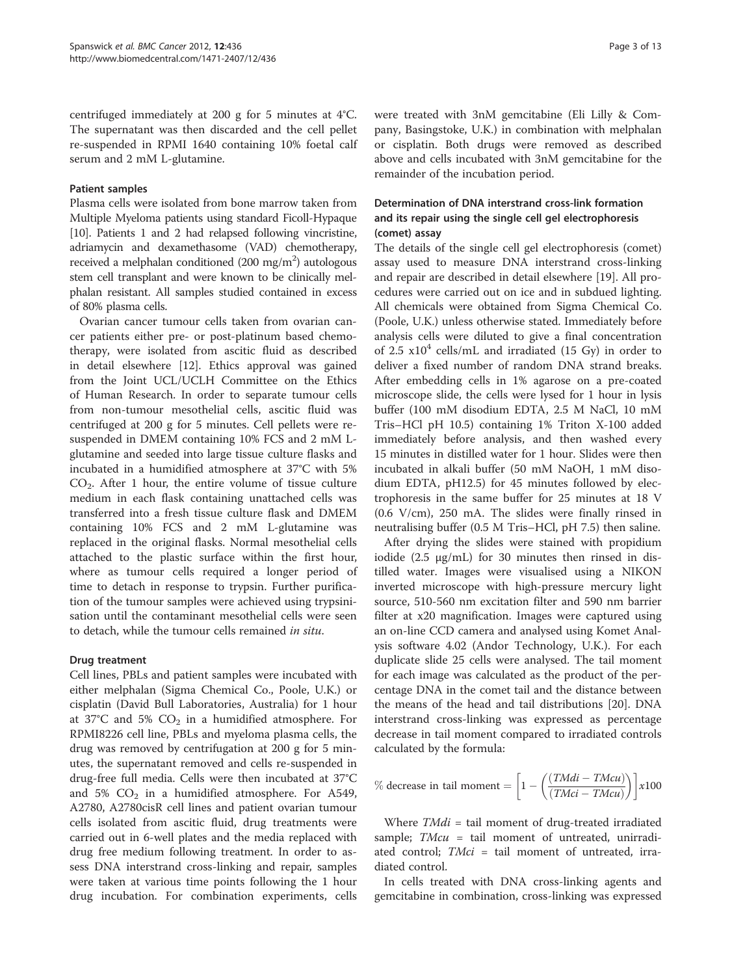centrifuged immediately at 200 g for 5 minutes at 4°C. The supernatant was then discarded and the cell pellet re-suspended in RPMI 1640 containing 10% foetal calf serum and 2 mM L-glutamine.

#### Patient samples

Plasma cells were isolated from bone marrow taken from Multiple Myeloma patients using standard Ficoll-Hypaque [[10](#page-11-0)]. Patients 1 and 2 had relapsed following vincristine, adriamycin and dexamethasome (VAD) chemotherapy, received a melphalan conditioned (200 mg/m<sup>2</sup>) autologous stem cell transplant and were known to be clinically melphalan resistant. All samples studied contained in excess of 80% plasma cells.

Ovarian cancer tumour cells taken from ovarian cancer patients either pre- or post-platinum based chemotherapy, were isolated from ascitic fluid as described in detail elsewhere [[12\]](#page-11-0). Ethics approval was gained from the Joint UCL/UCLH Committee on the Ethics of Human Research. In order to separate tumour cells from non-tumour mesothelial cells, ascitic fluid was centrifuged at 200 g for 5 minutes. Cell pellets were resuspended in DMEM containing 10% FCS and 2 mM Lglutamine and seeded into large tissue culture flasks and incubated in a humidified atmosphere at 37°C with 5%  $CO<sub>2</sub>$ . After 1 hour, the entire volume of tissue culture medium in each flask containing unattached cells was transferred into a fresh tissue culture flask and DMEM containing 10% FCS and 2 mM L-glutamine was replaced in the original flasks. Normal mesothelial cells attached to the plastic surface within the first hour, where as tumour cells required a longer period of time to detach in response to trypsin. Further purification of the tumour samples were achieved using trypsinisation until the contaminant mesothelial cells were seen to detach, while the tumour cells remained in situ.

## Drug treatment

Cell lines, PBLs and patient samples were incubated with either melphalan (Sigma Chemical Co., Poole, U.K.) or cisplatin (David Bull Laboratories, Australia) for 1 hour at 37°C and 5%  $CO<sub>2</sub>$  in a humidified atmosphere. For RPMI8226 cell line, PBLs and myeloma plasma cells, the drug was removed by centrifugation at 200 g for 5 minutes, the supernatant removed and cells re-suspended in drug-free full media. Cells were then incubated at 37°C and 5%  $CO<sub>2</sub>$  in a humidified atmosphere. For A549, A2780, A2780cisR cell lines and patient ovarian tumour cells isolated from ascitic fluid, drug treatments were carried out in 6-well plates and the media replaced with drug free medium following treatment. In order to assess DNA interstrand cross-linking and repair, samples were taken at various time points following the 1 hour drug incubation. For combination experiments, cells were treated with 3nM gemcitabine (Eli Lilly & Company, Basingstoke, U.K.) in combination with melphalan or cisplatin. Both drugs were removed as described above and cells incubated with 3nM gemcitabine for the remainder of the incubation period.

# Determination of DNA interstrand cross-link formation and its repair using the single cell gel electrophoresis (comet) assay

The details of the single cell gel electrophoresis (comet) assay used to measure DNA interstrand cross-linking and repair are described in detail elsewhere [\[19\]](#page-11-0). All procedures were carried out on ice and in subdued lighting. All chemicals were obtained from Sigma Chemical Co. (Poole, U.K.) unless otherwise stated. Immediately before analysis cells were diluted to give a final concentration of 2.5  $x10^4$  cells/mL and irradiated (15 Gy) in order to deliver a fixed number of random DNA strand breaks. After embedding cells in 1% agarose on a pre-coated microscope slide, the cells were lysed for 1 hour in lysis buffer (100 mM disodium EDTA, 2.5 M NaCl, 10 mM Tris–HCl pH 10.5) containing 1% Triton X-100 added immediately before analysis, and then washed every 15 minutes in distilled water for 1 hour. Slides were then incubated in alkali buffer (50 mM NaOH, 1 mM disodium EDTA, pH12.5) for 45 minutes followed by electrophoresis in the same buffer for 25 minutes at 18 V (0.6 V/cm), 250 mA. The slides were finally rinsed in neutralising buffer (0.5 M Tris–HCl, pH 7.5) then saline.

After drying the slides were stained with propidium iodide (2.5 μg/mL) for 30 minutes then rinsed in distilled water. Images were visualised using a NIKON inverted microscope with high-pressure mercury light source, 510-560 nm excitation filter and 590 nm barrier filter at x20 magnification. Images were captured using an on-line CCD camera and analysed using Komet Analysis software 4.02 (Andor Technology, U.K.). For each duplicate slide 25 cells were analysed. The tail moment for each image was calculated as the product of the percentage DNA in the comet tail and the distance between the means of the head and tail distributions [[20\]](#page-11-0). DNA interstrand cross-linking was expressed as percentage decrease in tail moment compared to irradiated controls calculated by the formula:

$$
\% \text{ decrease in tail moment} = \left[1 - \left(\frac{(TMidi - TMcu)}{(TMci - TMcu)}\right)\right] \times 100
$$

Where  $TMidi =$  tail moment of drug-treated irradiated sample;  $TMcu = tail$  moment of untreated, unirradiated control; TMci = tail moment of untreated, irradiated control.

In cells treated with DNA cross-linking agents and gemcitabine in combination, cross-linking was expressed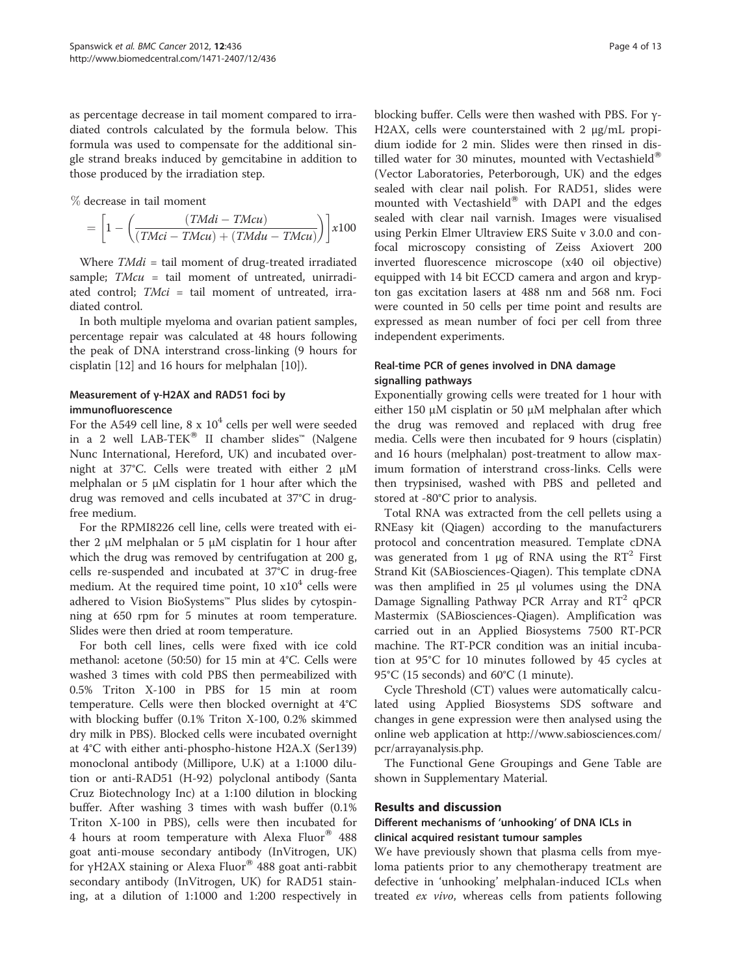as percentage decrease in tail moment compared to irradiated controls calculated by the formula below. This formula was used to compensate for the additional single strand breaks induced by gemcitabine in addition to those produced by the irradiation step.

% decrease in tail moment

$$
= \left[1 - \left(\frac{(T M di - T M c u)}{(T M ci - T M c u) + (T M d u - T M c u)}\right)\right] x 100
$$

Where  $TMidi = tail$  moment of drug-treated irradiated sample;  $TMcu = tail$  moment of untreated, unirradiated control; TMci = tail moment of untreated, irradiated control.

In both multiple myeloma and ovarian patient samples, percentage repair was calculated at 48 hours following the peak of DNA interstrand cross-linking (9 hours for cisplatin [[12](#page-11-0)] and 16 hours for melphalan [[10\]](#page-11-0)).

# Measurement of γ-H2AX and RAD51 foci by

#### immunofluorescence

For the A549 cell line,  $8 \times 10^4$  cells per well were seeded in a 2 well LAB-TEK<sup>®</sup> II chamber slides<sup>™</sup> (Nalgene Nunc International, Hereford, UK) and incubated overnight at 37°C. Cells were treated with either 2 μM melphalan or 5  $\mu$ M cisplatin for 1 hour after which the drug was removed and cells incubated at 37°C in drugfree medium.

For the RPMI8226 cell line, cells were treated with either 2 μM melphalan or 5 μM cisplatin for 1 hour after which the drug was removed by centrifugation at 200 g, cells re-suspended and incubated at 37°C in drug-free medium. At the required time point,  $10 \times 10^4$  cells were adhered to Vision BioSystems™ Plus slides by cytospinning at 650 rpm for 5 minutes at room temperature. Slides were then dried at room temperature.

For both cell lines, cells were fixed with ice cold methanol: acetone (50:50) for 15 min at 4°C. Cells were washed 3 times with cold PBS then permeabilized with 0.5% Triton X-100 in PBS for 15 min at room temperature. Cells were then blocked overnight at 4°C with blocking buffer (0.1% Triton X-100, 0.2% skimmed dry milk in PBS). Blocked cells were incubated overnight at 4°C with either anti-phospho-histone H2A.X (Ser139) monoclonal antibody (Millipore, U.K) at a 1:1000 dilution or anti-RAD51 (H-92) polyclonal antibody (Santa Cruz Biotechnology Inc) at a 1:100 dilution in blocking buffer. After washing 3 times with wash buffer (0.1% Triton X-100 in PBS), cells were then incubated for 4 hours at room temperature with Alexa Fluor® 488 goat anti-mouse secondary antibody (InVitrogen, UK) for γH2AX staining or Alexa Fluor<sup>®</sup> 488 goat anti-rabbit secondary antibody (InVitrogen, UK) for RAD51 staining, at a dilution of 1:1000 and 1:200 respectively in blocking buffer. Cells were then washed with PBS. For γ-H2AX, cells were counterstained with 2 μg/mL propidium iodide for 2 min. Slides were then rinsed in distilled water for 30 minutes, mounted with Vectashield<sup>®</sup> (Vector Laboratories, Peterborough, UK) and the edges sealed with clear nail polish. For RAD51, slides were mounted with Vectashield® with DAPI and the edges sealed with clear nail varnish. Images were visualised using Perkin Elmer Ultraview ERS Suite v 3.0.0 and confocal microscopy consisting of Zeiss Axiovert 200 inverted fluorescence microscope (x40 oil objective) equipped with 14 bit ECCD camera and argon and krypton gas excitation lasers at 488 nm and 568 nm. Foci were counted in 50 cells per time point and results are expressed as mean number of foci per cell from three independent experiments.

# Real-time PCR of genes involved in DNA damage signalling pathways

Exponentially growing cells were treated for 1 hour with either 150 μM cisplatin or 50 μM melphalan after which the drug was removed and replaced with drug free media. Cells were then incubated for 9 hours (cisplatin) and 16 hours (melphalan) post-treatment to allow maximum formation of interstrand cross-links. Cells were then trypsinised, washed with PBS and pelleted and stored at -80°C prior to analysis.

Total RNA was extracted from the cell pellets using a RNEasy kit (Qiagen) according to the manufacturers protocol and concentration measured. Template cDNA was generated from 1  $\mu$ g of RNA using the RT<sup>2</sup> First Strand Kit (SABiosciences-Qiagen). This template cDNA was then amplified in 25 μl volumes using the DNA Damage Signalling Pathway PCR Array and  $RT^2$  qPCR Mastermix (SABiosciences-Qiagen). Amplification was carried out in an Applied Biosystems 7500 RT-PCR machine. The RT-PCR condition was an initial incubation at 95°C for 10 minutes followed by 45 cycles at 95°C (15 seconds) and 60°C (1 minute).

Cycle Threshold (CT) values were automatically calculated using Applied Biosystems SDS software and changes in gene expression were then analysed using the online web application at [http://www.sabiosciences.com/](http://www.sabiosciences.com/pcr/arrayanalysis.php) [pcr/arrayanalysis.php](http://www.sabiosciences.com/pcr/arrayanalysis.php).

The Functional Gene Groupings and Gene Table are shown in Supplementary Material.

## Results and discussion

## Different mechanisms of 'unhooking' of DNA ICLs in clinical acquired resistant tumour samples

We have previously shown that plasma cells from myeloma patients prior to any chemotherapy treatment are defective in 'unhooking' melphalan-induced ICLs when treated ex vivo, whereas cells from patients following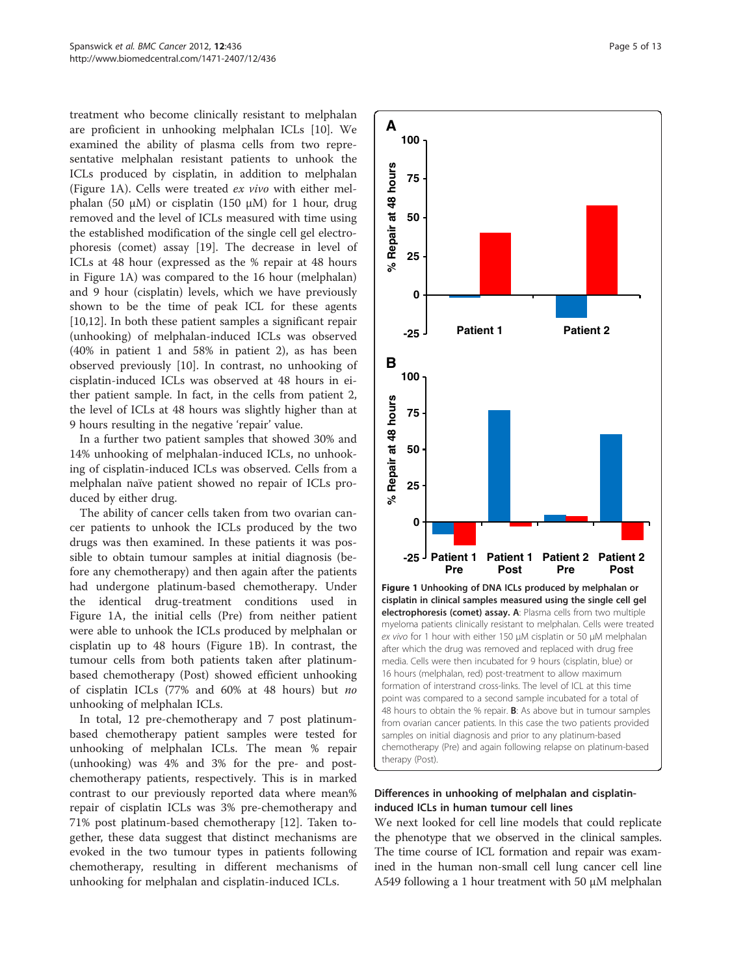<span id="page-4-0"></span>treatment who become clinically resistant to melphalan are proficient in unhooking melphalan ICLs [[10\]](#page-11-0). We examined the ability of plasma cells from two representative melphalan resistant patients to unhook the ICLs produced by cisplatin, in addition to melphalan (Figure 1A). Cells were treated ex vivo with either melphalan (50 μM) or cisplatin (150 μM) for 1 hour, drug removed and the level of ICLs measured with time using the established modification of the single cell gel electrophoresis (comet) assay [\[19](#page-11-0)]. The decrease in level of ICLs at 48 hour (expressed as the % repair at 48 hours in Figure 1A) was compared to the 16 hour (melphalan) and 9 hour (cisplatin) levels, which we have previously shown to be the time of peak ICL for these agents [[10,12\]](#page-11-0). In both these patient samples a significant repair (unhooking) of melphalan-induced ICLs was observed (40% in patient 1 and 58% in patient 2), as has been observed previously [[10\]](#page-11-0). In contrast, no unhooking of cisplatin-induced ICLs was observed at 48 hours in either patient sample. In fact, in the cells from patient 2, the level of ICLs at 48 hours was slightly higher than at 9 hours resulting in the negative 'repair' value.

In a further two patient samples that showed 30% and 14% unhooking of melphalan-induced ICLs, no unhooking of cisplatin-induced ICLs was observed. Cells from a melphalan naïve patient showed no repair of ICLs produced by either drug.

The ability of cancer cells taken from two ovarian cancer patients to unhook the ICLs produced by the two drugs was then examined. In these patients it was possible to obtain tumour samples at initial diagnosis (before any chemotherapy) and then again after the patients had undergone platinum-based chemotherapy. Under the identical drug-treatment conditions used in Figure 1A, the initial cells (Pre) from neither patient were able to unhook the ICLs produced by melphalan or cisplatin up to 48 hours (Figure 1B). In contrast, the tumour cells from both patients taken after platinumbased chemotherapy (Post) showed efficient unhooking of cisplatin ICLs (77% and 60% at 48 hours) but no unhooking of melphalan ICLs.

In total, 12 pre-chemotherapy and 7 post platinumbased chemotherapy patient samples were tested for unhooking of melphalan ICLs. The mean % repair (unhooking) was 4% and 3% for the pre- and postchemotherapy patients, respectively. This is in marked contrast to our previously reported data where mean% repair of cisplatin ICLs was 3% pre-chemotherapy and 71% post platinum-based chemotherapy [[12\]](#page-11-0). Taken together, these data suggest that distinct mechanisms are evoked in the two tumour types in patients following chemotherapy, resulting in different mechanisms of unhooking for melphalan and cisplatin-induced ICLs.



# Differences in unhooking of melphalan and cisplatininduced ICLs in human tumour cell lines

We next looked for cell line models that could replicate the phenotype that we observed in the clinical samples. The time course of ICL formation and repair was examined in the human non-small cell lung cancer cell line A549 following a 1 hour treatment with 50 μM melphalan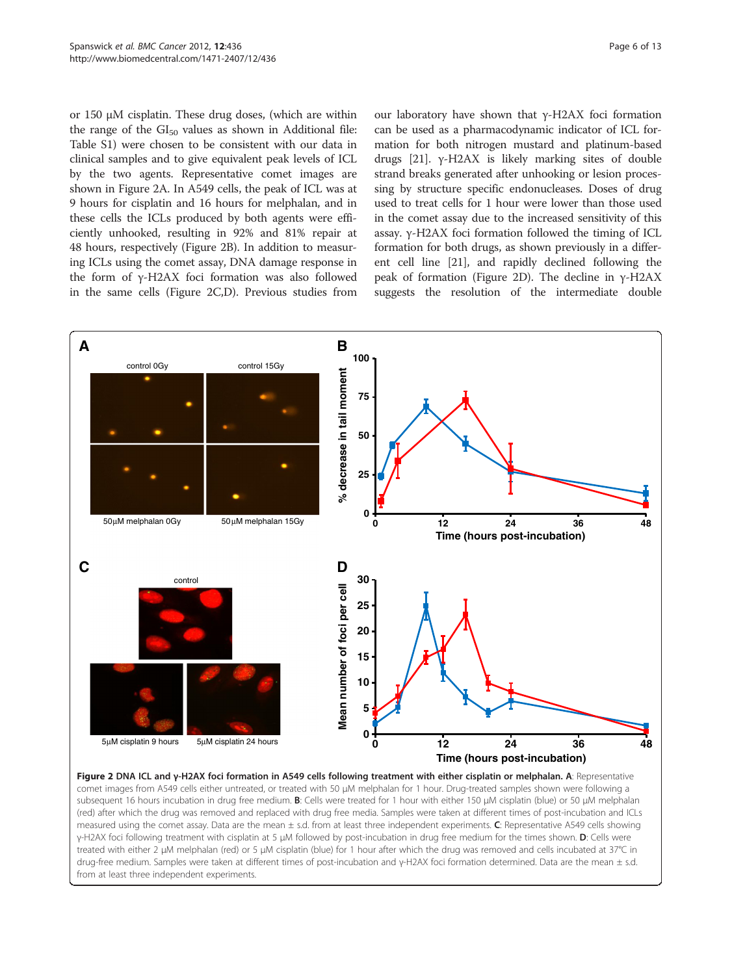<span id="page-5-0"></span>or 150 μM cisplatin. These drug doses, (which are within the range of the  $GI<sub>50</sub>$  values as shown in [Additional file:](#page-11-0) [Table S1\)](#page-11-0) were chosen to be consistent with our data in clinical samples and to give equivalent peak levels of ICL by the two agents. Representative comet images are shown in Figure 2A. In A549 cells, the peak of ICL was at 9 hours for cisplatin and 16 hours for melphalan, and in these cells the ICLs produced by both agents were efficiently unhooked, resulting in 92% and 81% repair at 48 hours, respectively (Figure 2B). In addition to measuring ICLs using the comet assay, DNA damage response in the form of γ-H2AX foci formation was also followed in the same cells (Figure 2C,D). Previous studies from our laboratory have shown that γ-H2AX foci formation can be used as a pharmacodynamic indicator of ICL formation for both nitrogen mustard and platinum-based drugs [\[21\]](#page-11-0). γ-H2AX is likely marking sites of double strand breaks generated after unhooking or lesion processing by structure specific endonucleases. Doses of drug used to treat cells for 1 hour were lower than those used in the comet assay due to the increased sensitivity of this assay. γ-H2AX foci formation followed the timing of ICL formation for both drugs, as shown previously in a different cell line [\[21](#page-11-0)], and rapidly declined following the peak of formation (Figure 2D). The decline in γ-H2AX suggests the resolution of the intermediate double



Figure 2 DNA ICL and γ-H2AX foci formation in A549 cells following treatment with either cisplatin or melphalan. A: Representative comet images from A549 cells either untreated, or treated with 50 μM melphalan for 1 hour. Drug-treated samples shown were following a subsequent 16 hours incubation in drug free medium. B: Cells were treated for 1 hour with either 150 μM cisplatin (blue) or 50 μM melphalan (red) after which the drug was removed and replaced with drug free media. Samples were taken at different times of post-incubation and ICLs measured using the comet assay. Data are the mean  $\pm$  s.d. from at least three independent experiments. C: Representative A549 cells showing γ-H2AX foci following treatment with cisplatin at 5 μM followed by post-incubation in drug free medium for the times shown. D: Cells were treated with either 2 μM melphalan (red) or 5 μM cisplatin (blue) for 1 hour after which the drug was removed and cells incubated at 37°C in drug-free medium. Samples were taken at different times of post-incubation and γ-H2AX foci formation determined. Data are the mean ± s.d. from at least three independent experiments.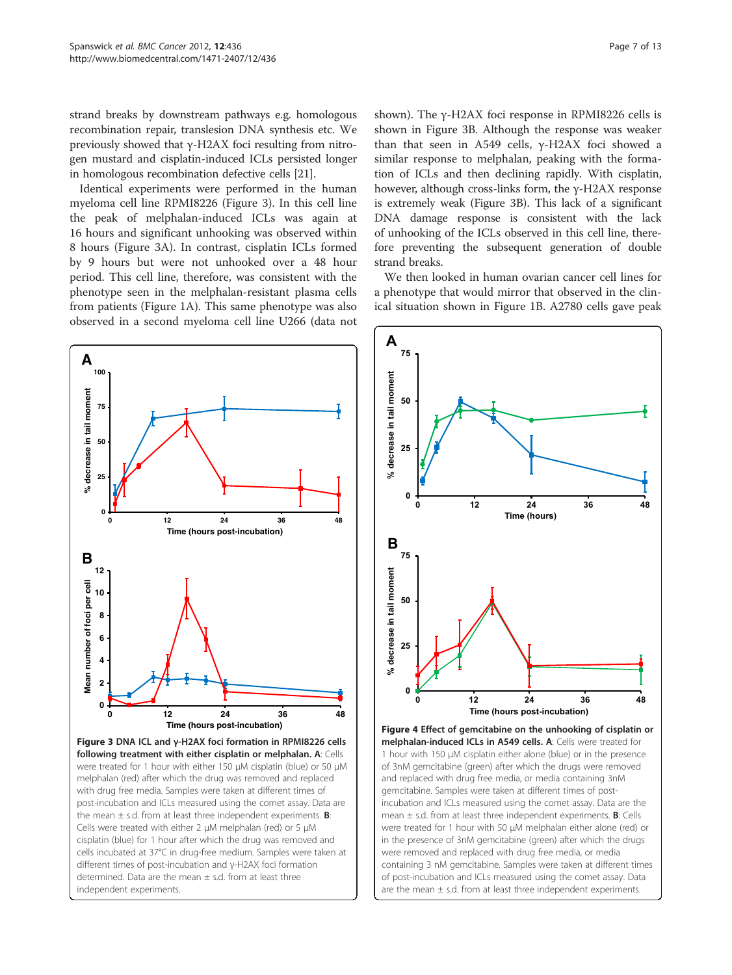<span id="page-6-0"></span>strand breaks by downstream pathways e.g. homologous recombination repair, translesion DNA synthesis etc. We previously showed that γ-H2AX foci resulting from nitrogen mustard and cisplatin-induced ICLs persisted longer in homologous recombination defective cells [\[21\]](#page-11-0).

Identical experiments were performed in the human myeloma cell line RPMI8226 (Figure 3). In this cell line the peak of melphalan-induced ICLs was again at 16 hours and significant unhooking was observed within 8 hours (Figure 3A). In contrast, cisplatin ICLs formed by 9 hours but were not unhooked over a 48 hour period. This cell line, therefore, was consistent with the phenotype seen in the melphalan-resistant plasma cells from patients (Figure [1A](#page-4-0)). This same phenotype was also observed in a second myeloma cell line U266 (data not



shown). The γ-H2AX foci response in RPMI8226 cells is shown in Figure 3B. Although the response was weaker than that seen in A549 cells, γ-H2AX foci showed a similar response to melphalan, peaking with the formation of ICLs and then declining rapidly. With cisplatin, however, although cross-links form, the γ-H2AX response is extremely weak (Figure 3B). This lack of a significant DNA damage response is consistent with the lack of unhooking of the ICLs observed in this cell line, therefore preventing the subsequent generation of double strand breaks.

We then looked in human ovarian cancer cell lines for a phenotype that would mirror that observed in the clinical situation shown in Figure [1B.](#page-4-0) A2780 cells gave peak



Figure 4 Effect of gemcitabine on the unhooking of cisplatin or melphalan-induced ICLs in A549 cells. A: Cells were treated for 1 hour with 150 μM cisplatin either alone (blue) or in the presence of 3nM gemcitabine (green) after which the drugs were removed and replaced with drug free media, or media containing 3nM gemcitabine. Samples were taken at different times of postincubation and ICLs measured using the comet assay. Data are the mean  $\pm$  s.d. from at least three independent experiments. **B**: Cells were treated for 1 hour with 50 μM melphalan either alone (red) or in the presence of 3nM gemcitabine (green) after which the drugs were removed and replaced with drug free media, or media containing 3 nM gemcitabine. Samples were taken at different times of post-incubation and ICLs measured using the comet assay. Data are the mean  $\pm$  s.d. from at least three independent experiments.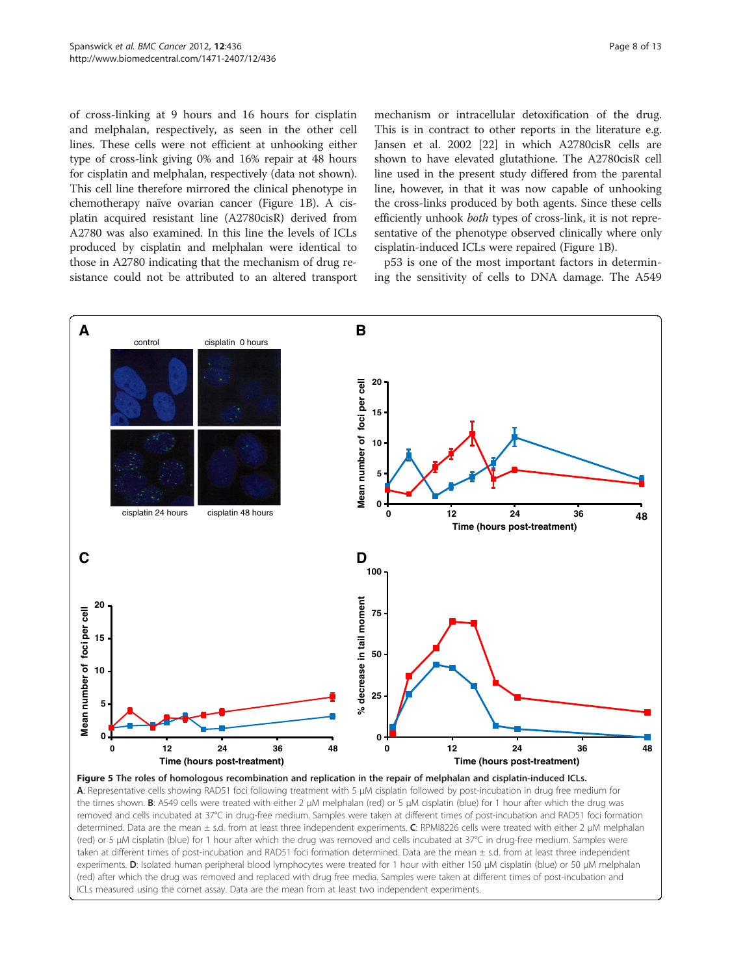<span id="page-7-0"></span>of cross-linking at 9 hours and 16 hours for cisplatin and melphalan, respectively, as seen in the other cell lines. These cells were not efficient at unhooking either type of cross-link giving 0% and 16% repair at 48 hours for cisplatin and melphalan, respectively (data not shown). This cell line therefore mirrored the clinical phenotype in chemotherapy naïve ovarian cancer (Figure [1B](#page-4-0)). A cisplatin acquired resistant line (A2780cisR) derived from A2780 was also examined. In this line the levels of ICLs produced by cisplatin and melphalan were identical to those in A2780 indicating that the mechanism of drug resistance could not be attributed to an altered transport

mechanism or intracellular detoxification of the drug. This is in contract to other reports in the literature e.g. Jansen et al. 2002 [[22](#page-11-0)] in which A2780cisR cells are shown to have elevated glutathione. The A2780cisR cell line used in the present study differed from the parental line, however, in that it was now capable of unhooking the cross-links produced by both agents. Since these cells efficiently unhook both types of cross-link, it is not representative of the phenotype observed clinically where only cisplatin-induced ICLs were repaired (Figure [1B](#page-4-0)).

p53 is one of the most important factors in determining the sensitivity of cells to DNA damage. The A549



Figure 5 The roles of homologous recombination and replication in the repair of melphalan and cisplatin-induced ICLs. A: Representative cells showing RAD51 foci following treatment with 5 μM cisplatin followed by post-incubation in drug free medium for the times shown. B: A549 cells were treated with either 2 μM melphalan (red) or 5 μM cisplatin (blue) for 1 hour after which the drug was removed and cells incubated at 37°C in drug-free medium. Samples were taken at different times of post-incubation and RAD51 foci formation determined. Data are the mean ± s.d. from at least three independent experiments. C: RPMI8226 cells were treated with either 2 μM melphalan (red) or 5 μM cisplatin (blue) for 1 hour after which the drug was removed and cells incubated at 37°C in drug-free medium. Samples were taken at different times of post-incubation and RAD51 foci formation determined. Data are the mean ± s.d. from at least three independent experiments. D: Isolated human peripheral blood lymphocytes were treated for 1 hour with either 150 μM cisplatin (blue) or 50 μM melphalan (red) after which the drug was removed and replaced with drug free media. Samples were taken at different times of post-incubation and ICLs measured using the comet assay. Data are the mean from at least two independent experiments.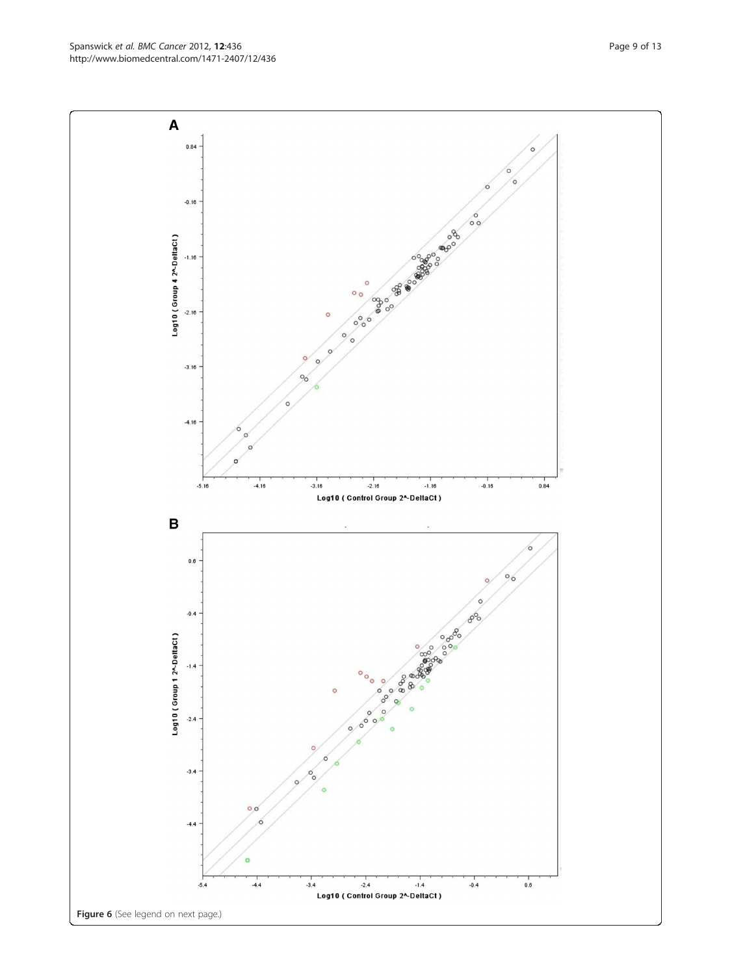**Peeper** Colores of the colores of the color Log10 (Group 4 2^-DeltaCt)  $-1.16$  $-2.16$  $\circ$  $\circ$  $-3.16$  $\circ$  $-4.16$  $\circ$  $-3.16$  $-0.16$  $\begin{array}{c} 1 \\ 0.84 \end{array}$  $-2.16$  $-1.16$  $-5.16$  $-4.16$ Log10 ( Control Group 2^-DeltaCt )  $\overline{\mathbf{B}}$  $0.6\,$  $\frac{6}{6}$  $-0.4$  $80^{6}$ Log10 (Group 1 2^-DeltaCt)  $-1.4$ ៓៓  $\circ$  $\circ$  $\circ$  $\delta$  $\circ$  $\circ$  $\circ$  $\begin{pmatrix} 0 \\ 0 \\ 0 \end{pmatrix}$  $-2.4$  $\circ$ d  $-3.4$  $\epsilon$  $\circ$  $\circ \circ$ ì  $-4.4$  $-3.4$  $-2.4$  $.0.4$  $0.6$  $-4.4$  $-1.4$  $-5.4$ Log10 ( Control Group 2^-DeltaCt ) Figure 6 (See legend on next page.)

 $\delta$  $\circ$ 

Spanswick et al. BMC Cancer 2012, 12:436 Page 9 of 13 http://www.biomedcentral.com/1471-2407/12/436

A

 $0.84$ 

 $-0.16$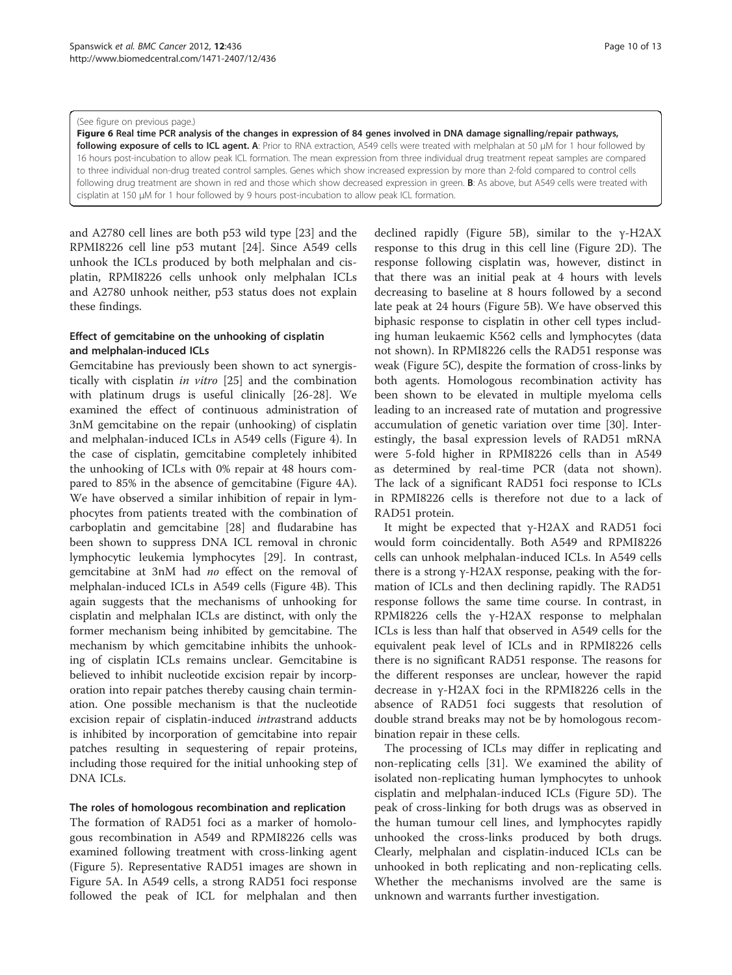<span id="page-9-0"></span>(See figure on previous page.)

Figure 6 Real time PCR analysis of the changes in expression of 84 genes involved in DNA damage signalling/repair pathways, following exposure of cells to ICL agent. A: Prior to RNA extraction, A549 cells were treated with melphalan at 50 µM for 1 hour followed by 16 hours post-incubation to allow peak ICL formation. The mean expression from three individual drug treatment repeat samples are compared to three individual non-drug treated control samples. Genes which show increased expression by more than 2-fold compared to control cells following drug treatment are shown in red and those which show decreased expression in green. **B:** As above, but A549 cells were treated with cisplatin at 150 μM for 1 hour followed by 9 hours post-incubation to allow peak ICL formation.

and A2780 cell lines are both p53 wild type [\[23](#page-11-0)] and the RPMI8226 cell line p53 mutant [\[24](#page-12-0)]. Since A549 cells unhook the ICLs produced by both melphalan and cisplatin, RPMI8226 cells unhook only melphalan ICLs and A2780 unhook neither, p53 status does not explain these findings.

# Effect of gemcitabine on the unhooking of cisplatin and melphalan-induced ICLs

Gemcitabine has previously been shown to act synergistically with cisplatin in vitro [[25\]](#page-12-0) and the combination with platinum drugs is useful clinically [\[26](#page-12-0)-[28\]](#page-12-0). We examined the effect of continuous administration of 3nM gemcitabine on the repair (unhooking) of cisplatin and melphalan-induced ICLs in A549 cells (Figure [4](#page-6-0)). In the case of cisplatin, gemcitabine completely inhibited the unhooking of ICLs with 0% repair at 48 hours compared to 85% in the absence of gemcitabine (Figure [4A](#page-6-0)). We have observed a similar inhibition of repair in lymphocytes from patients treated with the combination of carboplatin and gemcitabine [[28](#page-12-0)] and fludarabine has been shown to suppress DNA ICL removal in chronic lymphocytic leukemia lymphocytes [[29](#page-12-0)]. In contrast, gemcitabine at 3nM had no effect on the removal of melphalan-induced ICLs in A549 cells (Figure [4B\)](#page-6-0). This again suggests that the mechanisms of unhooking for cisplatin and melphalan ICLs are distinct, with only the former mechanism being inhibited by gemcitabine. The mechanism by which gemcitabine inhibits the unhooking of cisplatin ICLs remains unclear. Gemcitabine is believed to inhibit nucleotide excision repair by incorporation into repair patches thereby causing chain termination. One possible mechanism is that the nucleotide excision repair of cisplatin-induced intrastrand adducts is inhibited by incorporation of gemcitabine into repair patches resulting in sequestering of repair proteins, including those required for the initial unhooking step of DNA ICLs.

## The roles of homologous recombination and replication

The formation of RAD51 foci as a marker of homologous recombination in A549 and RPMI8226 cells was examined following treatment with cross-linking agent (Figure [5\)](#page-7-0). Representative RAD51 images are shown in Figure [5A.](#page-7-0) In A549 cells, a strong RAD51 foci response followed the peak of ICL for melphalan and then

declined rapidly (Figure [5B](#page-7-0)), similar to the γ-H2AX response to this drug in this cell line (Figure [2D\)](#page-5-0). The response following cisplatin was, however, distinct in that there was an initial peak at 4 hours with levels decreasing to baseline at 8 hours followed by a second late peak at 24 hours (Figure [5B\)](#page-7-0). We have observed this biphasic response to cisplatin in other cell types including human leukaemic K562 cells and lymphocytes (data not shown). In RPMI8226 cells the RAD51 response was weak (Figure [5C\)](#page-7-0), despite the formation of cross-links by both agents. Homologous recombination activity has been shown to be elevated in multiple myeloma cells leading to an increased rate of mutation and progressive accumulation of genetic variation over time [\[30\]](#page-12-0). Interestingly, the basal expression levels of RAD51 mRNA were 5-fold higher in RPMI8226 cells than in A549 as determined by real-time PCR (data not shown). The lack of a significant RAD51 foci response to ICLs in RPMI8226 cells is therefore not due to a lack of RAD51 protein.

It might be expected that γ-H2AX and RAD51 foci would form coincidentally. Both A549 and RPMI8226 cells can unhook melphalan-induced ICLs. In A549 cells there is a strong γ-H2AX response, peaking with the formation of ICLs and then declining rapidly. The RAD51 response follows the same time course. In contrast, in RPMI8226 cells the γ-H2AX response to melphalan ICLs is less than half that observed in A549 cells for the equivalent peak level of ICLs and in RPMI8226 cells there is no significant RAD51 response. The reasons for the different responses are unclear, however the rapid decrease in γ-H2AX foci in the RPMI8226 cells in the absence of RAD51 foci suggests that resolution of double strand breaks may not be by homologous recombination repair in these cells.

The processing of ICLs may differ in replicating and non-replicating cells [\[31](#page-12-0)]. We examined the ability of isolated non-replicating human lymphocytes to unhook cisplatin and melphalan-induced ICLs (Figure [5D\)](#page-7-0). The peak of cross-linking for both drugs was as observed in the human tumour cell lines, and lymphocytes rapidly unhooked the cross-links produced by both drugs. Clearly, melphalan and cisplatin-induced ICLs can be unhooked in both replicating and non-replicating cells. Whether the mechanisms involved are the same is unknown and warrants further investigation.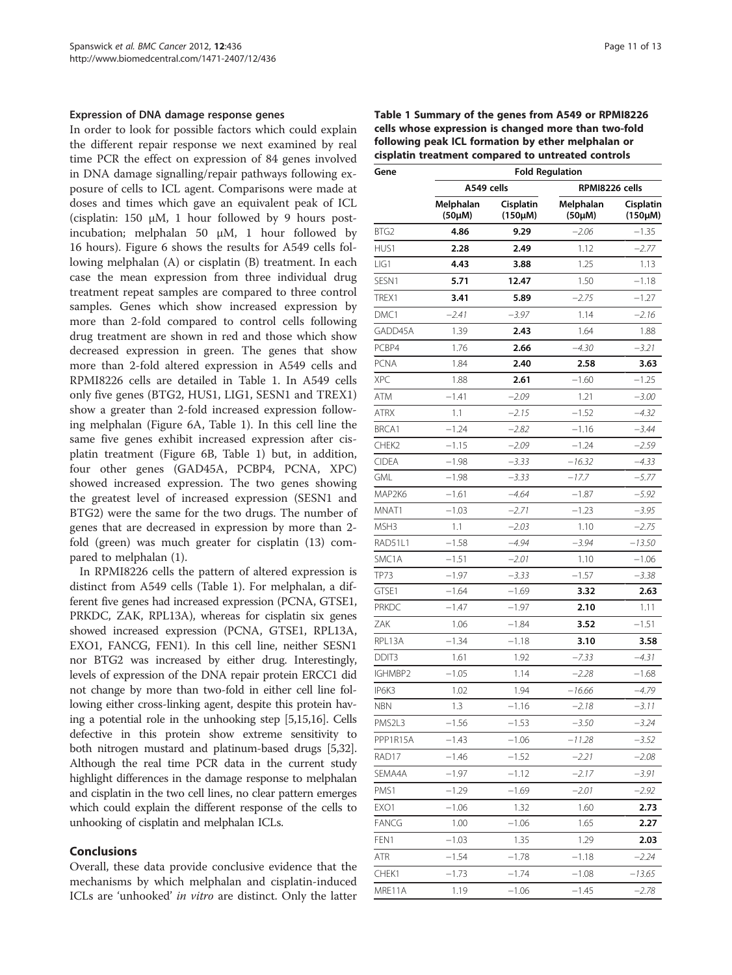#### Expression of DNA damage response genes

In order to look for possible factors which could explain the different repair response we next examined by real time PCR the effect on expression of 84 genes involved in DNA damage signalling/repair pathways following exposure of cells to ICL agent. Comparisons were made at doses and times which gave an equivalent peak of ICL (cisplatin: 150 μM, 1 hour followed by 9 hours postincubation; melphalan 50 μM, 1 hour followed by 16 hours). Figure [6](#page-9-0) shows the results for A549 cells following melphalan (A) or cisplatin (B) treatment. In each case the mean expression from three individual drug treatment repeat samples are compared to three control samples. Genes which show increased expression by more than 2-fold compared to control cells following drug treatment are shown in red and those which show decreased expression in green. The genes that show more than 2-fold altered expression in A549 cells and RPMI8226 cells are detailed in Table 1. In A549 cells only five genes (BTG2, HUS1, LIG1, SESN1 and TREX1) show a greater than 2-fold increased expression following melphalan (Figure [6A](#page-9-0), Table 1). In this cell line the same five genes exhibit increased expression after cisplatin treatment (Figure [6B](#page-9-0), Table 1) but, in addition, four other genes (GAD45A, PCBP4, PCNA, XPC) showed increased expression. The two genes showing the greatest level of increased expression (SESN1 and BTG2) were the same for the two drugs. The number of genes that are decreased in expression by more than 2 fold (green) was much greater for cisplatin (13) compared to melphalan (1).

In RPMI8226 cells the pattern of altered expression is distinct from A549 cells (Table 1). For melphalan, a different five genes had increased expression (PCNA, GTSE1, PRKDC, ZAK, RPL13A), whereas for cisplatin six genes showed increased expression (PCNA, GTSE1, RPL13A, EXO1, FANCG, FEN1). In this cell line, neither SESN1 nor BTG2 was increased by either drug. Interestingly, levels of expression of the DNA repair protein ERCC1 did not change by more than two-fold in either cell line following either cross-linking agent, despite this protein having a potential role in the unhooking step [[5,15,16](#page-11-0)]. Cells defective in this protein show extreme sensitivity to both nitrogen mustard and platinum-based drugs [\[5,](#page-11-0)[32](#page-12-0)]. Although the real time PCR data in the current study highlight differences in the damage response to melphalan and cisplatin in the two cell lines, no clear pattern emerges which could explain the different response of the cells to unhooking of cisplatin and melphalan ICLs.

## Conclusions

Overall, these data provide conclusive evidence that the mechanisms by which melphalan and cisplatin-induced ICLs are 'unhooked' in vitro are distinct. Only the latter Table 1 Summary of the genes from A549 or RPMI8226 cells whose expression is changed more than two-fold following peak ICL formation by ether melphalan or cisplatin treatment compared to untreated controls

| Gene               | <b>Fold Regulation</b>   |                           |                     |                           |  |
|--------------------|--------------------------|---------------------------|---------------------|---------------------------|--|
|                    | A549 cells               |                           | RPMI8226 cells      |                           |  |
|                    | Melphalan<br>$(50\mu M)$ | Cisplatin<br>$(150\mu M)$ | Melphalan<br>(50µM) | Cisplatin<br>$(150\mu M)$ |  |
| BTG <sub>2</sub>   | 4.86                     | 9.29                      | $-2.06$             | $-1.35$                   |  |
| HUS1               | 2.28                     | 2.49                      | 1.12                | $-2.77$                   |  |
| LIG1               | 4.43                     | 3.88                      | 1.25                | 1.13                      |  |
| SESN1              | 5.71                     | 12.47                     | 1.50                | –1.18                     |  |
| TREX1              | 3.41                     | 5.89                      | $-2.75$             | $-1.27$                   |  |
| DMC1               | $-2.41$                  | -3.97                     | 1.14                | $-2.16$                   |  |
| GADD45A            | 1.39                     | 2.43                      | 1.64                | 1.88                      |  |
| PCBP4              | 1.76                     | 2.66                      | $-4.30$             | $-3.21$                   |  |
| PCNA               | 1.84                     | 2.40                      | 2.58                | 3.63                      |  |
| <b>XPC</b>         | 1.88                     | 2.61                      | $-1.60$             | $-1.25$                   |  |
| ATM                | $-1.41$                  | -2.09                     | 1.21                | -3.00                     |  |
| <b>ATRX</b>        | 1.1                      | -2.15                     | $-1.52$             | –4.32                     |  |
| BRCA1              | $-1.24$                  | $-2.82$                   | $-1.16$             | $-3.44$                   |  |
| CHEK <sub>2</sub>  | $-1.15$                  | $-2.09$                   | $-1.24$             | $-2.59$                   |  |
| <b>CIDEA</b>       | –1.98                    | -3.33                     | –16.32              | –4.33                     |  |
| <b>GML</b>         | $-1.98$                  | $-3.33$                   | -17.7               | -5.77                     |  |
| MAP2K6             | $-1.61$                  | -4.64                     | $-1.87$             | $-5.92$                   |  |
| MNAT1              | $-1.03$                  | $-2.71$                   | $-1.23$             | $-3.95$                   |  |
| MSH3               | 1.1                      | $-2.03$                   | 1.10                | $-2.75$                   |  |
| RAD51L1            | $-1.58$                  | $-4.94$                   | $-3.94$             | $-13.50$                  |  |
| SMC <sub>1</sub> A | -1.51                    | -2.01                     | 1.10                | -1.06                     |  |
| <b>TP73</b>        | –1.97                    | $-3.33$                   | -1.57               | $-3.38$                   |  |
| GTSE1              | $-1.64$                  | $-1.69$                   | 3.32                | 2.63                      |  |
| <b>PRKDC</b>       | $-1.47$                  | $-1.97$                   | 2.10                | 1.11                      |  |
| ZAK                | 1.06                     | $-1.84$                   | 3.52                | $-1.51$                   |  |
| RPL13A             | $-1.34$                  | $-1.18$                   | 3.10                | 3.58                      |  |
| DDIT3              | 1.61                     | 1.92                      | $-7.33$             | $-4.31$                   |  |
| IGHMBP2            | $-1.05$                  | 1.14                      | $-2.28$             | $-1.68$                   |  |
| IP6K3              | 1.02                     | 1.94                      | $-16.66$            | -4.79                     |  |
| NBN                | 1.3                      | -1.16                     | -2.18               | -3.11                     |  |
| PMS2L3             | -1.56                    | -1.53                     | -3.50               | $-3.24$                   |  |
| PPP1R15A           | $-1.43$                  | $-1.06$                   | $-11.28$            | $-3.52$                   |  |
| RAD17              | $-1.46$                  | $-1.52$                   | $-2.21$             | $-2.08$                   |  |
| SEMA4A             | $-1.97$                  | $-1.12$                   | $-2.17$             | -3.91                     |  |
| PMS1               | $-1.29$                  | $-1.69$                   | $-2.01$             | $-2.92$                   |  |
| EXO1               | $-1.06$                  | 1.32                      | 1.60                | 2.73                      |  |
| FANCG              | 1.00                     | $-1.06$                   | 1.65                | 2.27                      |  |
| FEN1               | $-1.03$                  | 1.35                      | 1.29                | 2.03                      |  |
| ATR                | $-1.54$                  | $-1.78$                   | $-1.18$             | $-2.24$                   |  |
| CHEK1              | $-1.73$                  | $-1.74$                   | $-1.08$             | $-13.65$                  |  |
| MRE11A             | 1.19                     | $-1.06$                   | $-1.45$             | $-2.78$                   |  |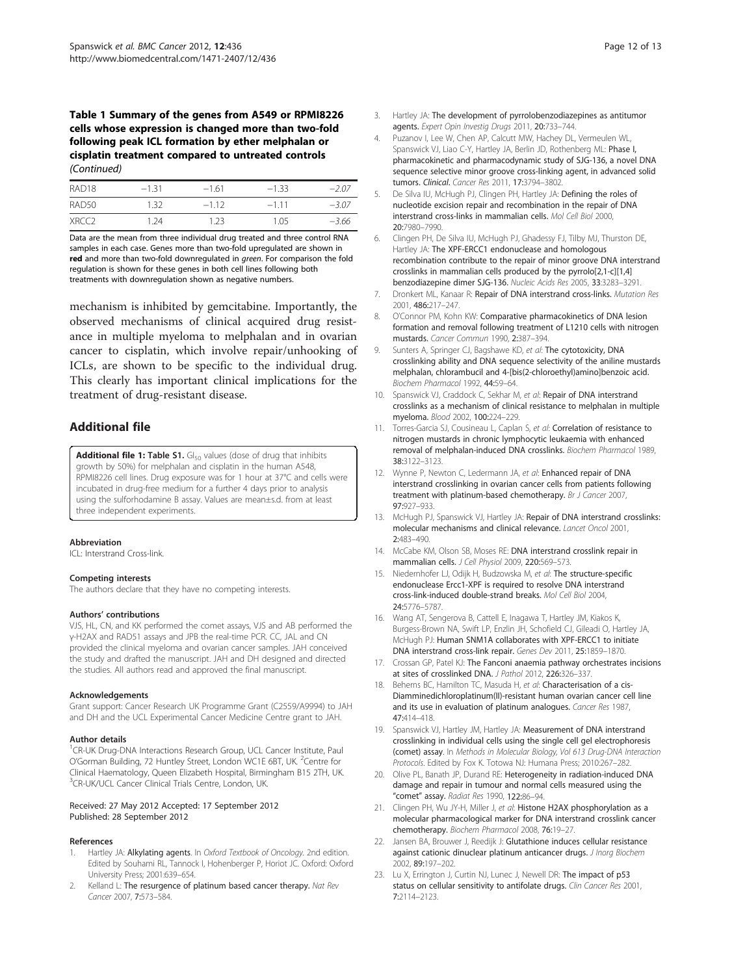#### <span id="page-11-0"></span>Table 1 Summary of the genes from A549 or RPMI8226 cells whose expression is changed more than two-fold following peak ICL formation by ether melphalan or cisplatin treatment compared to untreated controls (Continued)

| RAD <sub>18</sub> | $-1.31$ | $-1.61$ | $-1.33$ | $-207$  |
|-------------------|---------|---------|---------|---------|
| RAD50             | 132     | $-112$  | $-111$  | $-3.07$ |
| XRCC <sub>2</sub> | 1 24    | 1.23    | 1.05    | $-3.66$ |

Data are the mean from three individual drug treated and three control RNA samples in each case. Genes more than two-fold upregulated are shown in red and more than two-fold downregulated in green. For comparison the fold regulation is shown for these genes in both cell lines following both treatments with downregulation shown as negative numbers.

mechanism is inhibited by gemcitabine. Importantly, the observed mechanisms of clinical acquired drug resistance in multiple myeloma to melphalan and in ovarian cancer to cisplatin, which involve repair/unhooking of ICLs, are shown to be specific to the individual drug. This clearly has important clinical implications for the treatment of drug-resistant disease.

# Additional file

[Additional file 1:](http://www.biomedcentral.com/content/supplementary/1471-2407-12-436-S1.docx) Table S1. GI<sub>50</sub> values (dose of drug that inhibits growth by 50%) for melphalan and cisplatin in the human A548, RPMI8226 cell lines. Drug exposure was for 1 hour at 37°C and cells were incubated in drug-free medium for a further 4 days prior to analysis using the sulforhodamine B assay. Values are mean±s.d. from at least three independent experiments.

#### Abbreviation

ICL: Interstrand Cross-link.

#### Competing interests

The authors declare that they have no competing interests.

#### Authors' contributions

VJS, HL, CN, and KK performed the comet assays, VJS and AB performed the γ-H2AX and RAD51 assays and JPB the real-time PCR. CC, JAL and CN provided the clinical myeloma and ovarian cancer samples. JAH conceived the study and drafted the manuscript. JAH and DH designed and directed the studies. All authors read and approved the final manuscript.

#### Acknowledgements

Grant support: Cancer Research UK Programme Grant (C2559/A9994) to JAH and DH and the UCL Experimental Cancer Medicine Centre grant to JAH.

#### Author details

<sup>1</sup>CR-UK Drug-DNA Interactions Research Group, UCL Cancer Institute, Paul O'Gorman Building, 72 Huntley Street, London WC1E 6BT, UK. <sup>2</sup>Centre for Clinical Haematology, Queen Elizabeth Hospital, Birmingham B15 2TH, UK. 3 CR-UK/UCL Cancer Clinical Trials Centre, London, UK.

#### Received: 27 May 2012 Accepted: 17 September 2012 Published: 28 September 2012

#### References

- 1. Hartley JA: Alkylating agents. In Oxford Textbook of Oncology. 2nd edition. Edited by Souhami RL, Tannock I, Hohenberger P, Horiot JC. Oxford: Oxford University Press; 2001:639–654.
- 2. Kelland L: The resurgence of platinum based cancer therapy. Nat Rev Cancer 2007, 7:573–584.
- Hartley JA: The development of pyrrolobenzodiazepines as antitumor agents. Expert Opin Investig Drugs 2011, 20:733–744.
- 4. Puzanov I, Lee W, Chen AP, Calcutt MW, Hachey DL, Vermeulen WL, Spanswick VJ, Liao C-Y, Hartley JA, Berlin JD, Rothenberg ML: Phase I, pharmacokinetic and pharmacodynamic study of SJG-136, a novel DNA sequence selective minor groove cross-linking agent, in advanced solid tumors. Clinical. Cancer Res 2011, 17:3794–3802.
- 5. De Silva IU, McHugh PJ, Clingen PH, Hartley JA: Defining the roles of nucleotide excision repair and recombination in the repair of DNA interstrand cross-links in mammalian cells. Mol Cell Biol 2000, 20:7980–7990.
- 6. Clingen PH, De Silva IU, McHugh PJ, Ghadessy FJ, Tilby MJ, Thurston DE, Hartley JA: The XPF-ERCC1 endonuclease and homologous recombination contribute to the repair of minor groove DNA interstrand crosslinks in mammalian cells produced by the pyrrolo[2,1-c][1,4] benzodiazepine dimer SJG-136. Nucleic Acids Res 2005, 33:3283–3291.
- 7. Dronkert ML, Kanaar R: Repair of DNA interstrand cross-links. Mutation Res 2001, 486:217–247.
- 8. O'Connor PM, Kohn KW: Comparative pharmacokinetics of DNA lesion formation and removal following treatment of L1210 cells with nitrogen mustards. Cancer Commun 1990, 2:387–394.
- 9. Sunters A, Springer CJ, Bagshawe KD, et al: The cytotoxicity, DNA crosslinking ability and DNA sequence selectivity of the aniline mustards melphalan, chlorambucil and 4-[bis(2-chloroethyl)amino]benzoic acid. Biochem Pharmacol 1992, 44:59–64.
- 10. Spanswick VJ, Craddock C, Sekhar M, et al: Repair of DNA interstrand crosslinks as a mechanism of clinical resistance to melphalan in multiple myeloma. Blood 2002, 100:224–229.
- 11. Torres-Garcia SJ, Cousineau L, Caplan S, et al: Correlation of resistance to nitrogen mustards in chronic lymphocytic leukaemia with enhanced removal of melphalan-induced DNA crosslinks. Biochem Pharmacol 1989, 38:3122–3123.
- 12. Wynne P, Newton C, Ledermann JA, et al: Enhanced repair of DNA interstrand crosslinking in ovarian cancer cells from patients following treatment with platinum-based chemotherapy. Br J Cancer 2007, 97:927–933.
- 13. McHugh PJ, Spanswick VJ, Hartley JA: Repair of DNA interstrand crosslinks: molecular mechanisms and clinical relevance. Lancet Oncol 2001, 2:483–490.
- 14. McCabe KM, Olson SB, Moses RE: DNA interstrand crosslink repair in mammalian cells. J Cell Physiol 2009, 220:569–573.
- 15. Niedernhofer LJ, Odijk H, Budzowska M, et al: The structure-specific endonuclease Ercc1-XPF is required to resolve DNA interstrand cross-link-induced double-strand breaks. Mol Cell Biol 2004, 24:5776–5787.
- 16. Wang AT, Sengerova B, Cattell E, Inagawa T, Hartley JM, Kiakos K, Burgess-Brown NA, Swift LP, Enzlin JH, Schofield CJ, Gileadi O, Hartley JA, McHugh PJ: Human SNM1A collaborates with XPF-ERCC1 to initiate DNA interstrand cross-link repair. Genes Dev 2011, 25:1859–1870.
- 17. Crossan GP, Patel KJ: The Fanconi anaemia pathway orchestrates incisions at sites of crosslinked DNA. J Pathol 2012, 226:326–337.
- 18. Beherns BC, Hamilton TC, Masuda H, et al: Characterisation of a cis-Diamminedichloroplatinum(II)-resistant human ovarian cancer cell line and its use in evaluation of platinum analogues. Cancer Res 1987, 47:414–418.
- 19. Spanswick VJ, Hartley JM, Hartley JA: Measurement of DNA interstrand crosslinking in individual cells using the single cell gel electrophoresis (comet) assay. In Methods in Molecular Biology, Vol 613 Drug-DNA Interaction Protocols. Edited by Fox K. Totowa NJ: Humana Press; 2010:267–282.
- 20. Olive PL, Banath JP, Durand RE: Heterogeneity in radiation-induced DNA damage and repair in tumour and normal cells measured using the "comet" assay. Radiat Res 1990, 122:86-94.
- 21. Clingen PH, Wu JY-H, Miller J, et al: Histone H2AX phosphorylation as a molecular pharmacological marker for DNA interstrand crosslink cancer chemotherapy. Biochem Pharmacol 2008, 76:19–27.
- 22. Jansen BA, Brouwer J, Reedijk J: Glutathione induces cellular resistance against cationic dinuclear platinum anticancer drugs. J Inorg Biochem 2002, 89:197–202.
- 23. Lu X, Errington J, Curtin NJ, Lunec J, Newell DR: The impact of p53 status on cellular sensitivity to antifolate drugs. Clin Cancer Res 2001, 7:2114–2123.